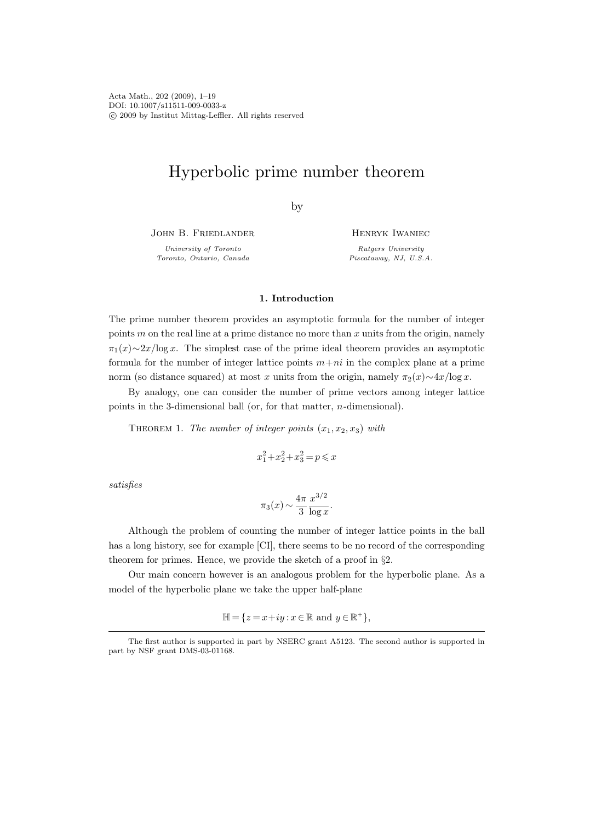Acta Math., 202 (2009), 1–19 DOI: 10.1007/s11511-009-0033-z c 2009 by Institut Mittag-Leffler. All rights reserved

# Hyperbolic prime number theorem

by

John B. Friedlander

University of Toronto Toronto, Ontario, Canada Henryk Iwaniec

Rutgers University Piscataway, NJ, U.S.A.

### 1. Introduction

The prime number theorem provides an asymptotic formula for the number of integer points  $m$  on the real line at a prime distance no more than  $x$  units from the origin, namely  $\pi_1(x) \sim 2x/\log x$ . The simplest case of the prime ideal theorem provides an asymptotic formula for the number of integer lattice points  $m+ni$  in the complex plane at a prime norm (so distance squared) at most x units from the origin, namely  $\pi_2(x) \sim 4x/\log x$ .

By analogy, one can consider the number of prime vectors among integer lattice points in the 3-dimensional ball (or, for that matter, n-dimensional).

THEOREM 1. The number of integer points  $(x_1, x_2, x_3)$  with

$$
x_1^2 + x_2^2 + x_3^2 = p \leqslant x
$$

satisfies

$$
\pi_3(x) \sim \frac{4\pi}{3} \frac{x^{3/2}}{\log x}.
$$

Although the problem of counting the number of integer lattice points in the ball has a long history, see for example [CI], there seems to be no record of the corresponding theorem for primes. Hence, we provide the sketch of a proof in  $\S2$ .

Our main concern however is an analogous problem for the hyperbolic plane. As a model of the hyperbolic plane we take the upper half-plane

 $\mathbb{H} = \{ z = x + iy : x \in \mathbb{R} \text{ and } y \in \mathbb{R}^+ \},\$ 

The first author is supported in part by NSERC grant A5123. The second author is supported in part by NSF grant DMS-03-01168.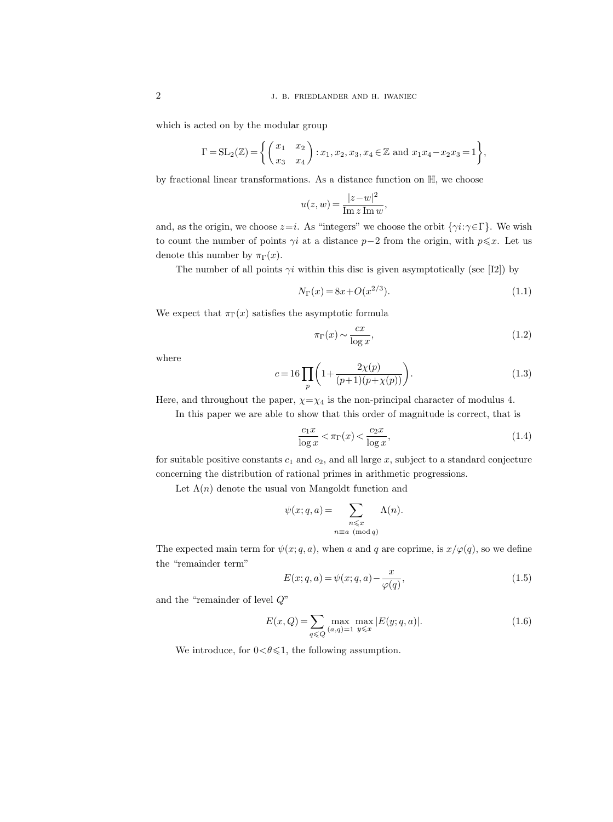which is acted on by the modular group

$$
\Gamma = SL_2(\mathbb{Z}) = \left\{ \begin{pmatrix} x_1 & x_2 \\ x_3 & x_4 \end{pmatrix} : x_1, x_2, x_3, x_4 \in \mathbb{Z} \text{ and } x_1x_4 - x_2x_3 = 1 \right\},\
$$

by fractional linear transformations. As a distance function on H, we choose

$$
u(z, w) = \frac{|z - w|^2}{\operatorname{Im} z \operatorname{Im} w},
$$

and, as the origin, we choose  $z=i$ . As "integers" we choose the orbit  $\{\gamma i:\gamma \in \Gamma\}$ . We wish to count the number of points  $\gamma i$  at a distance p−2 from the origin, with  $p \leq x$ . Let us denote this number by  $\pi_{\Gamma}(x)$ .

The number of all points  $\gamma i$  within this disc is given asymptotically (see [I2]) by

$$
N_{\Gamma}(x) = 8x + O(x^{2/3}).
$$
\n(1.1)

We expect that  $\pi_{\Gamma}(x)$  satisfies the asymptotic formula

$$
\pi_{\Gamma}(x) \sim \frac{cx}{\log x},\tag{1.2}
$$

where

$$
c = 16 \prod_{p} \left( 1 + \frac{2\chi(p)}{(p+1)(p+\chi(p))} \right).
$$
 (1.3)

Here, and throughout the paper,  $\chi = \chi_4$  is the non-principal character of modulus 4.

In this paper we are able to show that this order of magnitude is correct, that is

$$
\frac{c_1 x}{\log x} < \pi_\Gamma(x) < \frac{c_2 x}{\log x},\tag{1.4}
$$

for suitable positive constants  $c_1$  and  $c_2$ , and all large x, subject to a standard conjecture concerning the distribution of rational primes in arithmetic progressions.

Let  $\Lambda(n)$  denote the usual von Mangoldt function and

$$
\psi(x; q, a) = \sum_{\substack{n \leqslant x \\ n \equiv a \pmod{q}}} \Lambda(n).
$$

The expected main term for  $\psi(x; q, a)$ , when a and q are coprime, is  $x/\varphi(q)$ , so we define the "remainder term"

$$
E(x;q,a) = \psi(x;q,a) - \frac{x}{\varphi(q)},\tag{1.5}
$$

and the "remainder of level Q"

$$
E(x,Q) = \sum_{q \leq Q} \max_{(a,q)=1} \max_{y \leq x} |E(y;q,a)|.
$$
 (1.6)

We introduce, for  $0 < \theta \leq 1$ , the following assumption.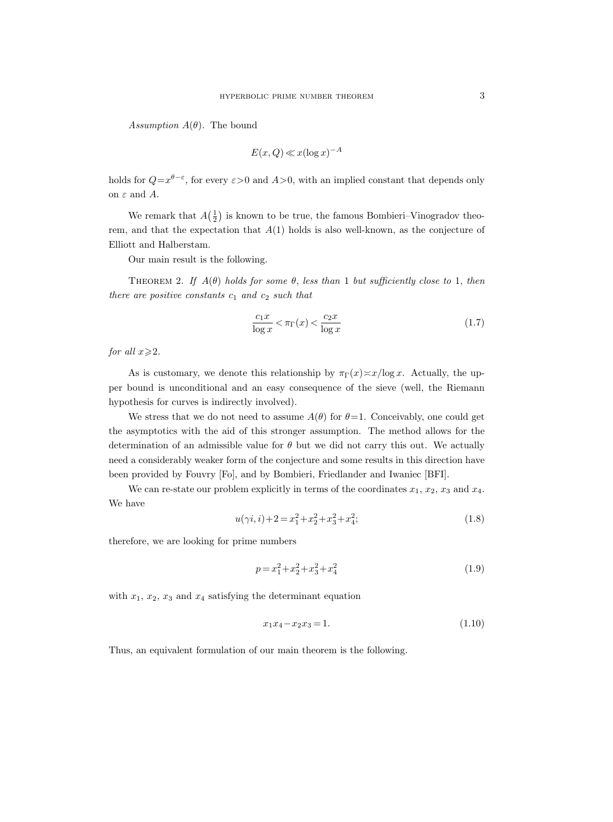Assumption  $A(\theta)$ . The bound

$$
E(x, Q) \ll x(\log x)^{-A}
$$

holds for  $Q=x^{\theta-\varepsilon}$ , for every  $\varepsilon>0$  and  $A>0$ , with an implied constant that depends only on  $\varepsilon$  and  $A$ .

We remark that  $A(\frac{1}{2})$  is known to be true, the famous Bombieri–Vinogradov theorem, and that the expectation that  $A(1)$  holds is also well-known, as the conjecture of Elliott and Halberstam.

Our main result is the following.

THEOREM 2. If  $A(\theta)$  holds for some  $\theta$ , less than 1 but sufficiently close to 1, then there are positive constants  $c_1$  and  $c_2$  such that

$$
\frac{c_1 x}{\log x} < \pi_\Gamma(x) < \frac{c_2 x}{\log x} \tag{1.7}
$$

for all  $x \ge 2$ .

As is customary, we denote this relationship by  $\pi_{\Gamma}(x) \approx x/\log x$ . Actually, the upper bound is unconditional and an easy consequence of the sieve (well, the Riemann hypothesis for curves is indirectly involved).

We stress that we do not need to assume  $A(\theta)$  for  $\theta=1$ . Conceivably, one could get the asymptotics with the aid of this stronger assumption. The method allows for the determination of an admissible value for  $\theta$  but we did not carry this out. We actually need a considerably weaker form of the conjecture and some results in this direction have been provided by Fouvry [Fo], and by Bombieri, Friedlander and Iwaniec [BFI].

We can re-state our problem explicitly in terms of the coordinates  $x_1, x_2, x_3$  and  $x_4$ . We have

$$
u(\gamma i, i) + 2 = x_1^2 + x_2^2 + x_3^2 + x_4^2;
$$
\n(1.8)

therefore, we are looking for prime numbers

$$
p = x_1^2 + x_2^2 + x_3^2 + x_4^2 \tag{1.9}
$$

with  $x_1, x_2, x_3$  and  $x_4$  satisfying the determinant equation

$$
x_1 x_4 - x_2 x_3 = 1. \t\t(1.10)
$$

Thus, an equivalent formulation of our main theorem is the following.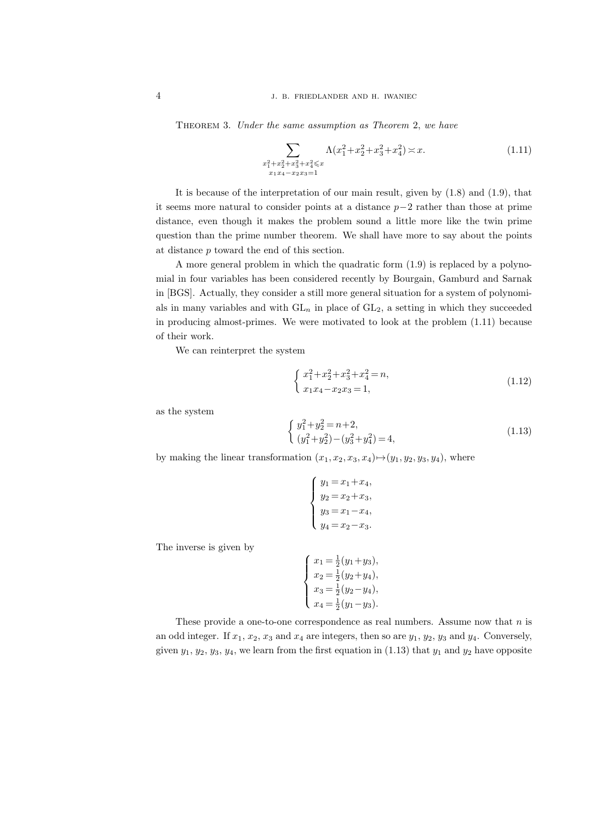THEOREM 3. Under the same assumption as Theorem 2, we have

$$
\sum_{\substack{x_1^2+x_2^2+x_3^2+x_4^2 \le x \\ x_1x_4-x_2x_3=1}} \Lambda(x_1^2+x_2^2+x_3^2+x_4^2) \asymp x. \tag{1.11}
$$

It is because of the interpretation of our main result, given by (1.8) and (1.9), that it seems more natural to consider points at a distance  $p-2$  rather than those at prime distance, even though it makes the problem sound a little more like the twin prime question than the prime number theorem. We shall have more to say about the points at distance p toward the end of this section.

A more general problem in which the quadratic form (1.9) is replaced by a polynomial in four variables has been considered recently by Bourgain, Gamburd and Sarnak in [BGS]. Actually, they consider a still more general situation for a system of polynomials in many variables and with  $GL_n$  in place of  $GL_2$ , a setting in which they succeeded in producing almost-primes. We were motivated to look at the problem (1.11) because of their work.

We can reinterpret the system

$$
\begin{cases}\nx_1^2 + x_2^2 + x_3^2 + x_4^2 = n, \\
x_1x_4 - x_2x_3 = 1,\n\end{cases}
$$
\n(1.12)

as the system

$$
\begin{cases}\ny_1^2 + y_2^2 = n + 2, \\
(y_1^2 + y_2^2) - (y_3^2 + y_4^2) = 4,\n\end{cases}
$$
\n(1.13)

by making the linear transformation  $(x_1, x_2, x_3, x_4) \rightarrow (y_1, y_2, y_3, y_4)$ , where

$$
\begin{cases}\ny_1 = x_1 + x_4, \\
y_2 = x_2 + x_3, \\
y_3 = x_1 - x_4, \\
y_4 = x_2 - x_3.\n\end{cases}
$$

The inverse is given by

$$
\begin{cases}\nx_1 = \frac{1}{2}(y_1 + y_3), \\
x_2 = \frac{1}{2}(y_2 + y_4), \\
x_3 = \frac{1}{2}(y_2 - y_4), \\
x_4 = \frac{1}{2}(y_1 - y_3).\n\end{cases}
$$

These provide a one-to-one correspondence as real numbers. Assume now that  $n$  is an odd integer. If  $x_1, x_2, x_3$  and  $x_4$  are integers, then so are  $y_1, y_2, y_3$  and  $y_4$ . Conversely, given  $y_1, y_2, y_3, y_4$ , we learn from the first equation in (1.13) that  $y_1$  and  $y_2$  have opposite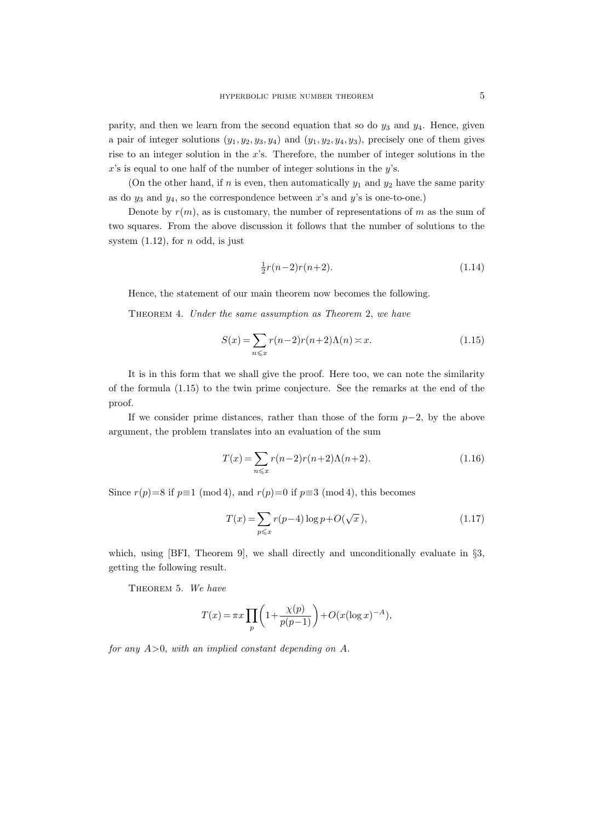parity, and then we learn from the second equation that so do  $y_3$  and  $y_4$ . Hence, given a pair of integer solutions  $(y_1, y_2, y_3, y_4)$  and  $(y_1, y_2, y_4, y_3)$ , precisely one of them gives rise to an integer solution in the  $x$ 's. Therefore, the number of integer solutions in the  $x$ 's is equal to one half of the number of integer solutions in the  $y$ 's.

(On the other hand, if n is even, then automatically  $y_1$  and  $y_2$  have the same parity as do  $y_3$  and  $y_4$ , so the correspondence between x's and y's is one-to-one.)

Denote by  $r(m)$ , as is customary, the number of representations of m as the sum of two squares. From the above discussion it follows that the number of solutions to the system  $(1.12)$ , for *n* odd, is just

$$
\frac{1}{2}r(n-2)r(n+2).
$$
 (1.14)

Hence, the statement of our main theorem now becomes the following.

Theorem 4. Under the same assumption as Theorem 2, we have

$$
S(x) = \sum_{n \leq x} r(n-2)r(n+2)\Lambda(n) \approx x.
$$
 (1.15)

It is in this form that we shall give the proof. Here too, we can note the similarity of the formula (1.15) to the twin prime conjecture. See the remarks at the end of the proof.

If we consider prime distances, rather than those of the form  $p-2$ , by the above argument, the problem translates into an evaluation of the sum

$$
T(x) = \sum_{n \leq x} r(n-2)r(n+2)\Lambda(n+2).
$$
 (1.16)

Since  $r(p)=8$  if  $p\equiv 1 \pmod{4}$ , and  $r(p)=0$  if  $p\equiv 3 \pmod{4}$ , this becomes

$$
T(x) = \sum_{p \leq x} r(p-4) \log p + O(\sqrt{x}),
$$
\n(1.17)

which, using [BFI, Theorem 9], we shall directly and unconditionally evaluate in  $\S3$ , getting the following result.

THEOREM 5. We have

$$
T(x) = \pi x \prod_p \left( 1 + \frac{\chi(p)}{p(p-1)} \right) + O(x(\log x)^{-A}),
$$

for any  $A>0$ , with an implied constant depending on A.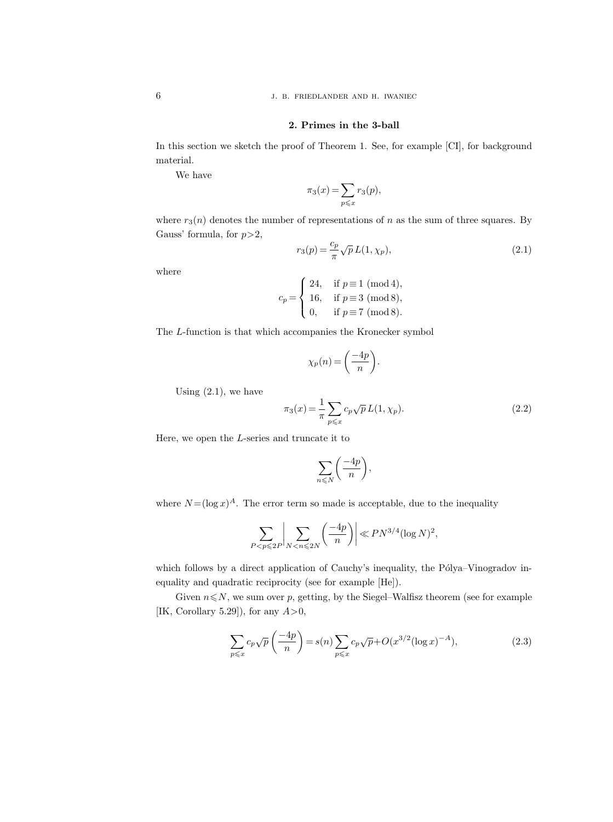# 2. Primes in the 3-ball

In this section we sketch the proof of Theorem 1. See, for example [CI], for background material.

We have

$$
\pi_3(x) = \sum_{p \leqslant x} r_3(p),
$$

where  $r_3(n)$  denotes the number of representations of n as the sum of three squares. By Gauss' formula, for  $p > 2$ ,

$$
r_3(p) = \frac{c_p}{\pi} \sqrt{p} L(1, \chi_p),
$$
\n(2.1)

where

$$
c_p = \begin{cases} \ 24, & \text{if } p \equiv 1 \pmod{4}, \\ \ 16, & \text{if } p \equiv 3 \pmod{8}, \\ \ 0, & \text{if } p \equiv 7 \pmod{8}. \end{cases}
$$

The L-function is that which accompanies the Kronecker symbol

$$
\chi_p(n) = \left(\frac{-4p}{n}\right).
$$

Using  $(2.1)$ , we have

$$
\pi_3(x) = \frac{1}{\pi} \sum_{p \le x} c_p \sqrt{p} L(1, \chi_p).
$$
 (2.2)

Here, we open the L-series and truncate it to

$$
\sum_{n\leqslant N}\bigg(\frac{-4p}{n}\bigg),\,
$$

where  $N = (\log x)^A$ . The error term so made is acceptable, due to the inequality

$$
\sum_{P < p \leqslant 2P} \left| \sum_{N < n \leqslant 2N} \left( \frac{-4p}{n} \right) \right| \ll P N^{3/4} (\log N)^2,
$$

which follows by a direct application of Cauchy's inequality, the Pólya–Vinogradov inequality and quadratic reciprocity (see for example [He]).

Given  $n \leq N$ , we sum over p, getting, by the Siegel–Walfisz theorem (see for example [IK, Corollary 5.29]), for any  $A > 0$ ,

$$
\sum_{p \leqslant x} c_p \sqrt{p} \left( \frac{-4p}{n} \right) = s(n) \sum_{p \leqslant x} c_p \sqrt{p} + O(x^{3/2} (\log x)^{-A}), \tag{2.3}
$$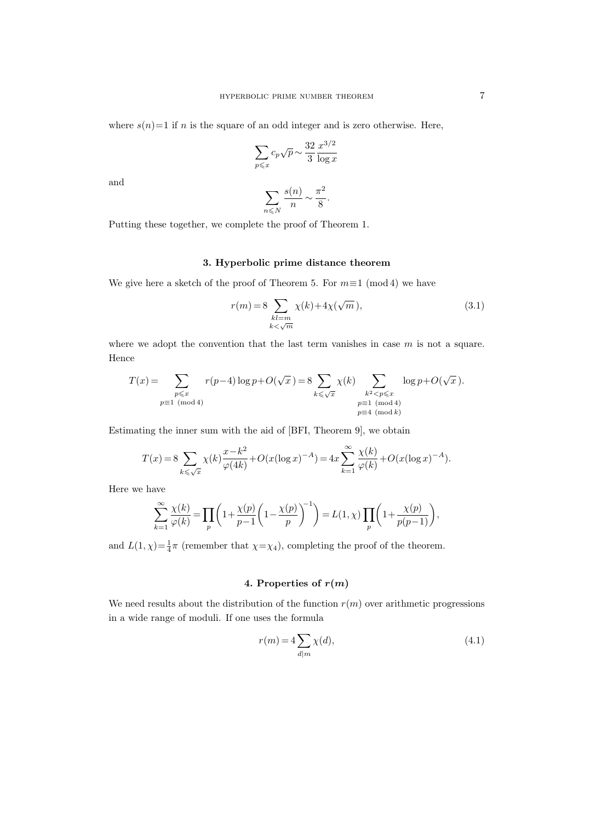where  $s(n)=1$  if n is the square of an odd integer and is zero otherwise. Here,

$$
\sum_{p \leqslant x} c_p \sqrt{p} \sim \frac{32}{3} \frac{x^{3/2}}{\log x}
$$

and

$$
\sum_{n \leq N} \frac{s(n)}{n} \sim \frac{\pi^2}{8}.
$$

Putting these together, we complete the proof of Theorem 1.

# 3. Hyperbolic prime distance theorem

We give here a sketch of the proof of Theorem 5. For  $m \equiv 1 \pmod{4}$  we have

$$
r(m) = 8 \sum_{\substack{k l = m \\ k < \sqrt{m}}} \chi(k) + 4\chi(\sqrt{m}), \qquad (3.1)
$$

where we adopt the convention that the last term vanishes in case  $m$  is not a square. Hence

$$
T(x) = \sum_{\substack{p \le x \\ p \equiv 1 \pmod{4}}} r(p-4) \log p + O(\sqrt{x}) = 8 \sum_{k \le \sqrt{x}} \chi(k) \sum_{\substack{k^2 < p \le x \\ p \equiv 1 \pmod{4} \\ p \equiv 4 \pmod{k}}} \log p + O(\sqrt{x}).
$$

Estimating the inner sum with the aid of [BFI, Theorem 9], we obtain

$$
T(x) = 8 \sum_{k \leq \sqrt{x}} \chi(k) \frac{x - k^2}{\varphi(4k)} + O(x(\log x)^{-A}) = 4x \sum_{k=1}^{\infty} \frac{\chi(k)}{\varphi(k)} + O(x(\log x)^{-A}).
$$

Here we have

$$
\sum_{k=1}^{\infty} \frac{\chi(k)}{\varphi(k)} = \prod_{p} \left( 1 + \frac{\chi(p)}{p-1} \left( 1 - \frac{\chi(p)}{p} \right)^{-1} \right) = L(1, \chi) \prod_{p} \left( 1 + \frac{\chi(p)}{p(p-1)} \right),
$$

and  $L(1, \chi) = \frac{1}{4}\pi$  (remember that  $\chi = \chi_4$ ), completing the proof of the theorem.

# 4. Properties of  $r(m)$

We need results about the distribution of the function  $r(m)$  over arithmetic progressions in a wide range of moduli. If one uses the formula

$$
r(m) = 4 \sum_{d|m} \chi(d),\tag{4.1}
$$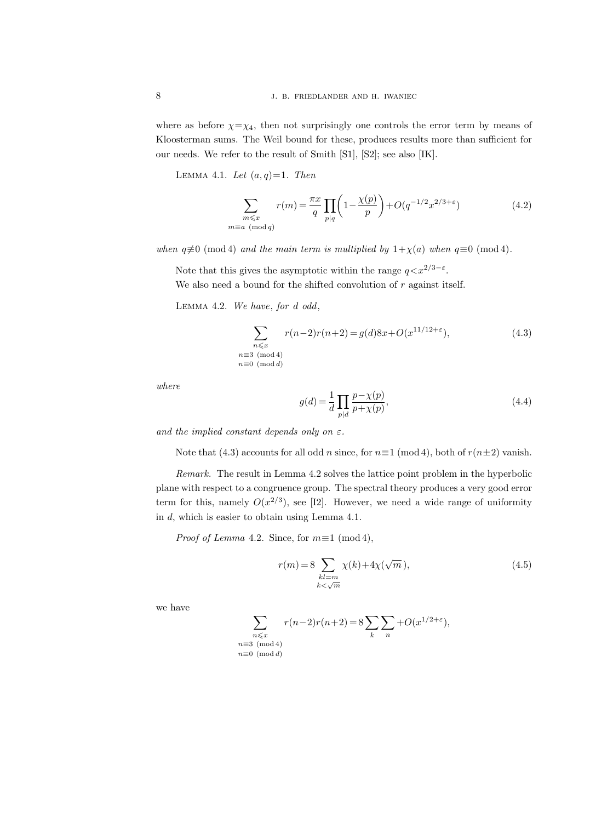where as before  $\chi = \chi_4$ , then not surprisingly one controls the error term by means of Kloosterman sums. The Weil bound for these, produces results more than sufficient for our needs. We refer to the result of Smith [S1], [S2]; see also [IK].

LEMMA 4.1. Let  $(a,q)=1$ . Then

$$
\sum_{\substack{m \le x \\ m \equiv a \pmod{q}}} r(m) = \frac{\pi x}{q} \prod_{p|q} \left( 1 - \frac{\chi(p)}{p} \right) + O(q^{-1/2} x^{2/3 + \varepsilon}) \tag{4.2}
$$

when  $q \not\equiv 0 \pmod{4}$  and the main term is multiplied by  $1+\chi(a)$  when  $q \equiv 0 \pmod{4}$ .

Note that this gives the asymptotic within the range  $q < x^{2/3-\epsilon}$ .

We also need a bound for the shifted convolution of  $r$  against itself.

Lemma 4.2. We have, for d odd,

 $\overline{n}$ 

$$
\sum_{\substack{n \leq x \\ n \equiv 3 \pmod{4} \\ n \equiv 0 \pmod{d}}} r(n-2)r(n+2) = g(d)8x + O(x^{11/12 + \varepsilon}),
$$
\n(4.3)

where

$$
g(d) = \frac{1}{d} \prod_{p|d} \frac{p - \chi(p)}{p + \chi(p)},\tag{4.4}
$$

and the implied constant depends only on  $\varepsilon$ .

 $n\equiv$ 

Note that (4.3) accounts for all odd n since, for  $n\equiv 1 \pmod{4}$ , both of  $r(n\pm 2)$  vanish.

Remark. The result in Lemma 4.2 solves the lattice point problem in the hyperbolic plane with respect to a congruence group. The spectral theory produces a very good error term for this, namely  $O(x^{2/3})$ , see [I2]. However, we need a wide range of uniformity in d, which is easier to obtain using Lemma 4.1.

*Proof of Lemma* 4.2. Since, for  $m \equiv 1 \pmod{4}$ ,

$$
r(m) = 8 \sum_{\substack{kl=m\\k<\sqrt{m}}} \chi(k) + 4\chi(\sqrt{m}), \qquad (4.5)
$$

we have

$$
\sum_{\substack{n \leqslant x \\ n \equiv 3 \pmod{4} \\ n \equiv 0 \pmod{d}}} r(n-2)r(n+2) = 8 \sum_{k} \sum_{n} +O(x^{1/2+\varepsilon}),
$$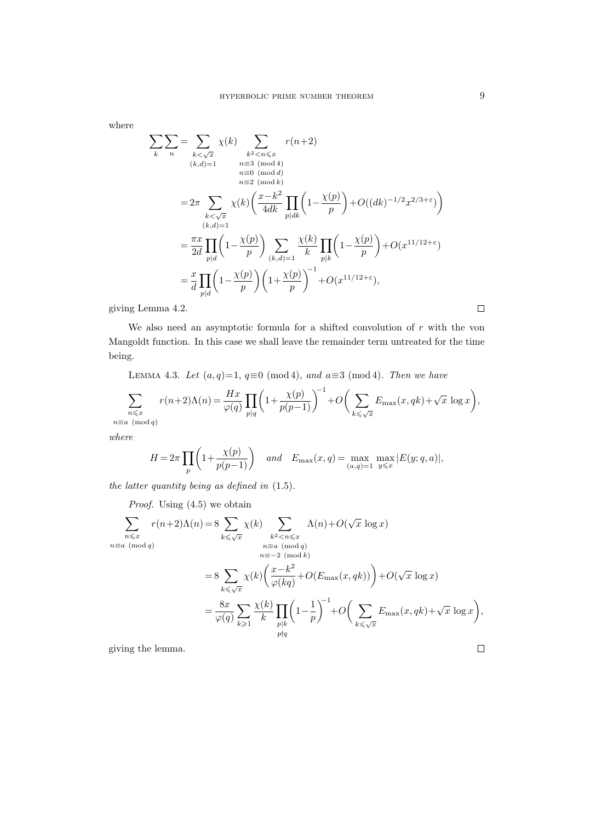where

$$
\sum_{k} \sum_{n} = \sum_{\substack{k < \sqrt{x} \\ (k,d)=1}} \chi(k) \sum_{\substack{k^2 < n \leq x \\ n \equiv 3 \pmod{4} \\ n \equiv 2 \pmod{4}}} r(n+2)
$$
\n
$$
= 2\pi \sum_{\substack{k < \sqrt{x} \\ (k,d)=1}} \chi(k) \left( \frac{x-k^2}{4dk} \prod_{p|dk} \left( 1 - \frac{\chi(p)}{p} \right) + O((dk)^{-1/2} x^{2/3+\varepsilon}) \right)
$$
\n
$$
= \frac{\pi x}{2d} \prod_{p|d} \left( 1 - \frac{\chi(p)}{p} \right) \sum_{(k,d)=1} \frac{\chi(k)}{k} \prod_{p|k} \left( 1 - \frac{\chi(p)}{p} \right) + O(x^{11/12+\varepsilon})
$$
\n
$$
= \frac{x}{d} \prod_{p|d} \left( 1 - \frac{\chi(p)}{p} \right) \left( 1 + \frac{\chi(p)}{p} \right)^{-1} + O(x^{11/12+\varepsilon}),
$$

giving Lemma 4.2.

We also need an asymptotic formula for a shifted convolution of  $r$  with the von Mangoldt function. In this case we shall leave the remainder term untreated for the time being.

LEMMA 4.3. Let  $(a,q)=1$ ,  $q\equiv 0 \pmod{4}$ , and  $a\equiv 3 \pmod{4}$ . Then we have

$$
\sum_{\substack{n \leqslant x \\ n \equiv a \pmod q}} r(n+2)\Lambda(n) = \frac{Hx}{\varphi(q)} \prod_{p|q} \bigg(1 + \frac{\chi(p)}{p(p-1)} \bigg)^{-1} + O\bigg(\sum_{k \leqslant \sqrt{x}} E_{\max}(x,qk) + \sqrt{x} \log x\bigg),
$$

where

$$
H = 2\pi \prod_p \left( 1 + \frac{\chi(p)}{p(p-1)} \right) \quad \text{and} \quad E_{\max}(x, q) = \max_{(a,q)=1} \max_{y \leqslant x} |E(y; q, a)|,
$$

the latter quantity being as defined in (1.5).

Proof. Using (4.5) we obtain  $\sum$  $n \leqslant x$  $n \equiv a \pmod{q}$  $r(n+2)\Lambda(n) = 8$  $\overline{k\leqslant \sqrt{x}}$  $\chi(k)$   $\sum$  $k^2$   $\lt$ n $\leqslant x$  $n \equiv a \pmod{q}$  $n \equiv -2 \pmod{k}$  $\Lambda(n)+O(\sqrt{x}\,\log x)$  $= 8 \sum$  $\overline{k\leqslant \sqrt{x}}$  $\chi(k) \left( \frac{x-k^2}{\mu} \right)$  $\left(\frac{x-k^2}{\varphi(kq)}+O(E_{\text{max}}(x,qk))\right)+O(\sqrt{x}\,\log x)$  $=\frac{8x}{4}$  $\varphi(q)$  $\sum$  $k\geqslant 1$  $\chi(k)$ k  $\Pi$  $p|k$  $p \nmid q$  $\left(1 - \frac{1}{2}\right)$ p  $\int_{-1}^{1} + O(\sum$  $\overline{k\leqslant \sqrt{x}}$  $E_{\text{max}}(x,qk)+\sqrt{x}\,\log x$ ,

giving the lemma.

 $\Box$ 

 $\Box$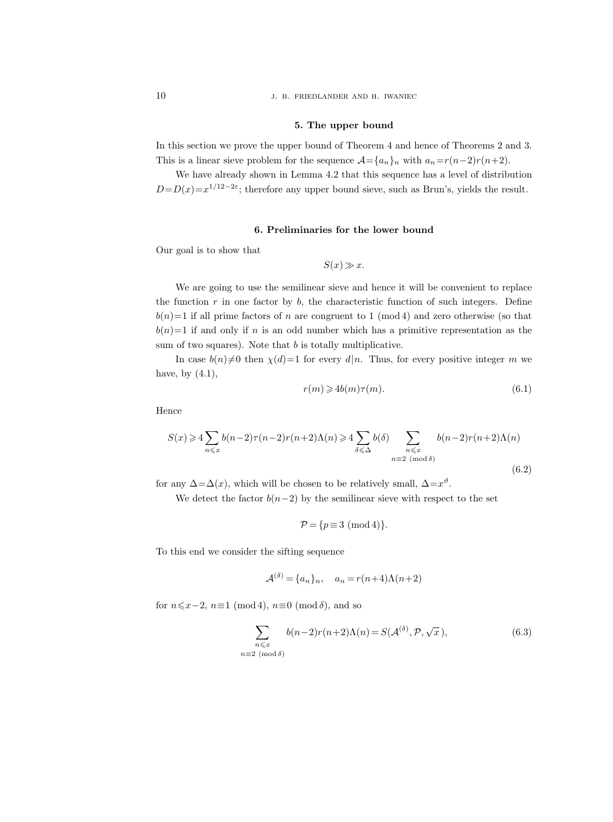10 J. B. FRIEDLANDER AND H. IWANIEC

#### 5. The upper bound

In this section we prove the upper bound of Theorem 4 and hence of Theorems 2 and 3. This is a linear sieve problem for the sequence  $\mathcal{A}={a_n}_n$  with  $a_n=r(n-2)r(n+2)$ .

We have already shown in Lemma 4.2 that this sequence has a level of distribution  $D=D(x)=x^{1/12-2\varepsilon}$ ; therefore any upper bound sieve, such as Brun's, yields the result.

# 6. Preliminaries for the lower bound

Our goal is to show that

$$
S(x) \gg x.
$$

We are going to use the semilinear sieve and hence it will be convenient to replace the function  $r$  in one factor by  $b$ , the characteristic function of such integers. Define  $b(n)=1$  if all prime factors of n are congruent to 1 (mod 4) and zero otherwise (so that  $b(n)=1$  if and only if n is an odd number which has a primitive representation as the sum of two squares). Note that  $b$  is totally multiplicative.

In case  $b(n)\neq0$  then  $\chi(d)=1$  for every d|n. Thus, for every positive integer m we have, by  $(4.1)$ ,

$$
r(m) \geqslant 4b(m)\tau(m). \tag{6.1}
$$

Hence

$$
S(x) \ge 4 \sum_{n \le x} b(n-2)\tau(n-2)r(n+2)\Lambda(n) \ge 4 \sum_{\delta \le \Delta} b(\delta) \sum_{\substack{n \le x \\ n \equiv 2 \pmod{\delta}}} b(n-2)r(n+2)\Lambda(n)
$$
\n(6.2)

for any  $\Delta = \Delta(x)$ , which will be chosen to be relatively small,  $\Delta = x^{\vartheta}$ .

We detect the factor  $b(n-2)$  by the semilinear sieve with respect to the set

$$
\mathcal{P} = \{p \equiv 3 \pmod{4}\}.
$$

To this end we consider the sifting sequence

$$
\mathcal{A}^{(\delta)} = \{a_n\}_n, \quad a_n = r(n+4)\Lambda(n+2)
$$

for  $n\leq x-2$ ,  $n\equiv 1 \pmod{4}$ ,  $n\equiv 0 \pmod{\delta}$ , and so

$$
\sum_{\substack{n \leq x \\ n \equiv 2 \pmod{\delta}}} b(n-2)r(n+2)\Lambda(n) = S(\mathcal{A}^{(\delta)}, \mathcal{P}, \sqrt{x}), \tag{6.3}
$$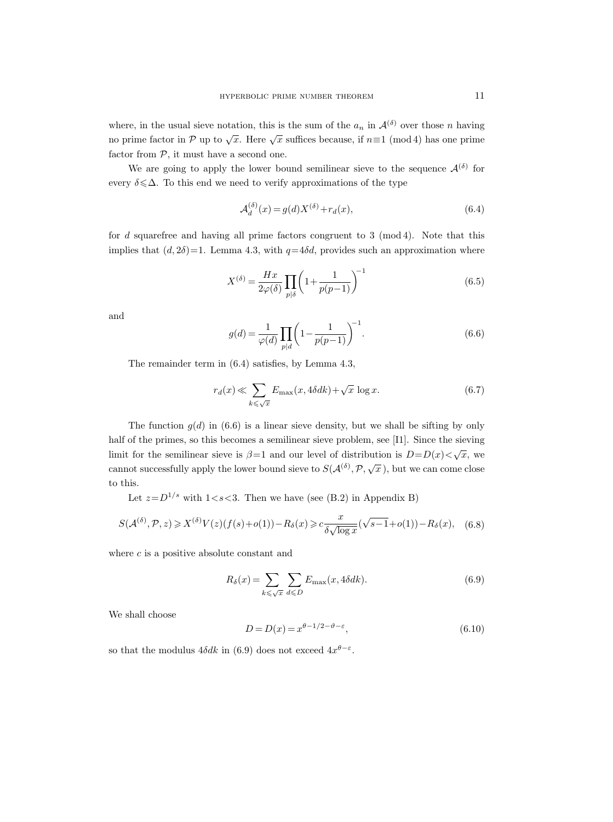where, in the usual sieve notation, this is the sum of the  $a_n$  in  $\mathcal{A}^{(\delta)}$  over those n having no prime factor in P up to  $\sqrt{x}$ . Here  $\sqrt{x}$  suffices because, if  $n \equiv 1 \pmod{4}$  has one prime factor from  $P$ , it must have a second one.

We are going to apply the lower bound semilinear sieve to the sequence  $\mathcal{A}^{(\delta)}$  for every  $\delta \leq \Delta$ . To this end we need to verify approximations of the type

$$
\mathcal{A}_d^{(\delta)}(x) = g(d)X^{(\delta)} + r_d(x),\tag{6.4}
$$

for  $d$  squarefree and having all prime factors congruent to 3 (mod 4). Note that this implies that  $(d, 2\delta)$ =1. Lemma 4.3, with  $q=4\delta d$ , provides such an approximation where

$$
X^{(\delta)} = \frac{Hx}{2\varphi(\delta)} \prod_{p|\delta} \left(1 + \frac{1}{p(p-1)}\right)^{-1} \tag{6.5}
$$

and

$$
g(d) = \frac{1}{\varphi(d)} \prod_{p|d} \left( 1 - \frac{1}{p(p-1)} \right)^{-1}.
$$
 (6.6)

The remainder term in (6.4) satisfies, by Lemma 4.3,

$$
r_d(x) \ll \sum_{k \le \sqrt{x}} E_{\text{max}}(x, 4\delta dk) + \sqrt{x} \log x.
$$
 (6.7)

The function  $g(d)$  in (6.6) is a linear sieve density, but we shall be sifting by only half of the primes, so this becomes a semilinear sieve problem, see [I1]. Since the sieving limit for the semilinear sieve is  $\beta=1$  and our level of distribution is  $D=D(x)<\sqrt{x}$ , we cannot successfully apply the lower bound sieve to  $S(\mathcal{A}^{(\delta)}, \mathcal{P}, \sqrt{x})$ , but we can come close to this.

Let  $z = D^{1/s}$  with  $1 < s < 3$ . Then we have (see (B.2) in Appendix B)

$$
S(\mathcal{A}^{(\delta)}, \mathcal{P}, z) \geqslant X^{(\delta)}V(z)(f(s) + o(1)) - R_{\delta}(x) \geqslant c \frac{x}{\delta\sqrt{\log x}}(\sqrt{s-1} + o(1)) - R_{\delta}(x), \quad (6.8)
$$

where  $c$  is a positive absolute constant and

$$
R_{\delta}(x) = \sum_{k \leq \sqrt{x}} \sum_{d \leq D} E_{\text{max}}(x, 4\delta dk). \tag{6.9}
$$

We shall choose

$$
D = D(x) = x^{\theta - 1/2 - \vartheta - \varepsilon},\tag{6.10}
$$

so that the modulus  $4\delta dk$  in (6.9) does not exceed  $4x^{\theta-\epsilon}$ .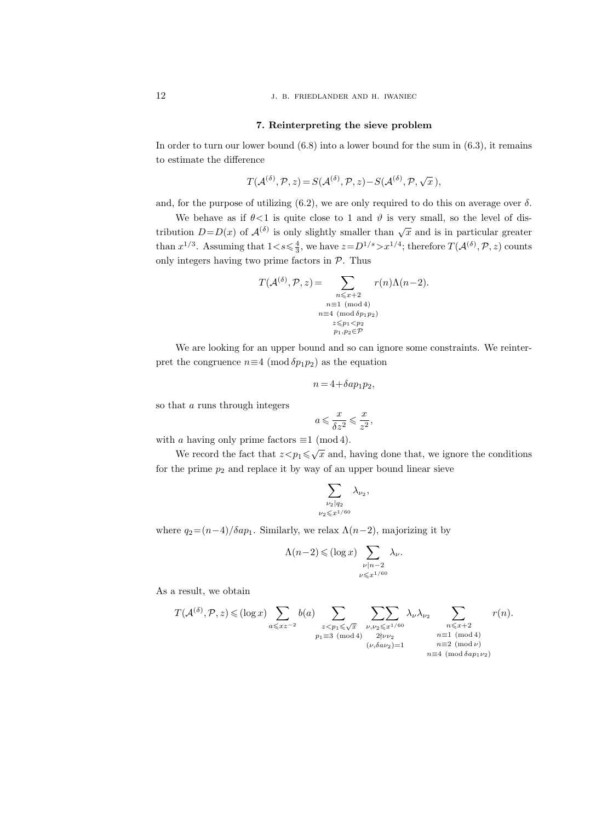12 J. B. FRIEDLANDER AND H. IWANIEC

#### 7. Reinterpreting the sieve problem

In order to turn our lower bound  $(6.8)$  into a lower bound for the sum in  $(6.3)$ , it remains to estimate the difference

$$
T(\mathcal{A}^{(\delta)}, \mathcal{P}, z) = S(\mathcal{A}^{(\delta)}, \mathcal{P}, z) - S(\mathcal{A}^{(\delta)}, \mathcal{P}, \sqrt{x}),
$$

and, for the purpose of utilizing  $(6.2)$ , we are only required to do this on average over  $\delta$ .

We behave as if  $\theta$ <1 is quite close to 1 and  $\vartheta$  is very small, so the level of distribution  $D = D(x)$  of  $\mathcal{A}^{(\delta)}$  is only slightly smaller than  $\sqrt{x}$  and is in particular greater than  $x^{1/3}$ . Assuming that  $1 < s \leq \frac{4}{3}$ , we have  $z = D^{1/s} > x^{1/4}$ ; therefore  $T(A^{(\delta)}, \mathcal{P}, z)$  counts only integers having two prime factors in  $P$ . Thus

$$
T(\mathcal{A}^{(\delta)}, \mathcal{P}, z) = \sum_{\substack{n \leq x+2 \\ n \equiv 1 \pmod{4} \\ n \equiv 4 \pmod{5p_1p_2} \\ z \leq p_1 < p_2 \\ p_1, p_2 \in \mathcal{P}}} r(n) \Lambda(n-2).
$$

We are looking for an upper bound and so can ignore some constraints. We reinterpret the congruence  $n \equiv 4 \pmod{5p_1p_2}$  as the equation

$$
n = 4 + \delta a p_1 p_2,
$$

so that a runs through integers

$$
a\leqslant \frac{x}{\delta z^2}\leqslant \frac{x}{z^2},
$$

with a having only prime factors  $\equiv$  1 (mod 4).

We record the fact that  $z < p_1 \leq \sqrt{x}$  and, having done that, we ignore the conditions for the prime  $p_2$  and replace it by way of an upper bound linear sieve

$$
\sum_{\substack{\nu_2|q_2\\ \nu_2\leqslant x^{1/60}}}\lambda_{\nu_2},
$$

where  $q_2=(n-4)/\delta ap_1$ . Similarly, we relax  $\Lambda(n-2)$ , majorizing it by

$$
\Lambda(n-2) \leqslant (\log x) \sum_{\substack{\nu \mid n-2 \\ \nu \leqslant x^{1/60}}} \lambda_{\nu}.
$$

As a result, we obtain

$$
T(\mathcal{A}^{(\delta)}, \mathcal{P}, z) \leqslant (\log x) \sum_{a \leqslant xz^{-2}} b(a) \sum_{\substack{z < p_1 \leqslant \sqrt{x} \\ p_1 \equiv 3 \pmod{4}}} \sum_{\substack{\nu, \nu_2 \leqslant x^{1/60} \\ 2 \nmid \nu \nu_2}} \lambda_{\nu} \lambda_{\nu_2} \sum_{\substack{n \leqslant x+2 \\ n \equiv 1 \pmod{4} \\ n \equiv 2 \pmod{\nu} \\ n \equiv 4 \pmod{5ap_1 \nu_2}}} r(n).
$$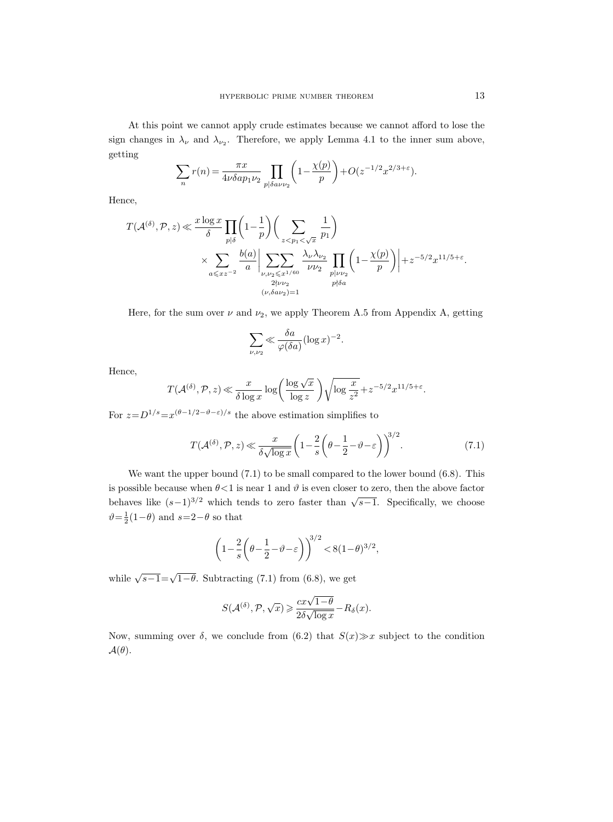At this point we cannot apply crude estimates because we cannot afford to lose the sign changes in  $\lambda_{\nu}$  and  $\lambda_{\nu_2}$ . Therefore, we apply Lemma 4.1 to the inner sum above, getting

$$
\sum_{n} r(n) = \frac{\pi x}{4\nu \delta a p_1 \nu_2} \prod_{p \mid \delta a \nu \nu_2} \left( 1 - \frac{\chi(p)}{p} \right) + O(z^{-1/2} x^{2/3 + \varepsilon}).
$$

Hence,

$$
\label{eq:taub} \begin{split} T(\mathcal{A}^{(\delta)},\mathcal{P},z) \ll & \frac{x\log x}{\delta} \prod_{p|\delta} \bigg(1-\frac{1}{p}\bigg) \bigg(\sum_{z < p_1 < \sqrt{x}} \frac{1}{p_1}\bigg) \\ & \times \sum_{a \leqslant xz^{-2}} \frac{b(a)}{a} \bigg| \sum_{\substack{\nu,\nu_2 \leqslant x^{1/60} \\ 2\nmid \nu\nu_2}} \frac{\lambda_\nu \lambda_{\nu_2}}{\nu \nu_2} \prod_{\substack{p|\nu\nu_2 \\ p \nmid \delta a}} \bigg(1-\frac{\chi(p)}{p}\bigg) \bigg| + z^{-5/2} x^{11/5+\varepsilon}. \end{split}
$$

Here, for the sum over  $\nu$  and  $\nu_2$ , we apply Theorem A.5 from Appendix A, getting

$$
\sum_{\nu,\nu_2} \ll \frac{\delta a}{\varphi(\delta a)} (\log x)^{-2}.
$$

Hence,

$$
T(\mathcal{A}^{(\delta)}, \mathcal{P}, z) \ll \frac{x}{\delta \log x} \log \left( \frac{\log \sqrt{x}}{\log z} \right) \sqrt{\log \frac{x}{z^2}} + z^{-5/2} x^{11/5 + \varepsilon}.
$$

For  $z = D^{1/s} = x^{(\theta - 1/2 - \theta - \varepsilon)/s}$  the above estimation simplifies to

$$
T(\mathcal{A}^{(\delta)}, \mathcal{P}, z) \ll \frac{x}{\delta \sqrt{\log x}} \left( 1 - \frac{2}{s} \left( \theta - \frac{1}{2} - \vartheta - \varepsilon \right) \right)^{3/2}.
$$
 (7.1)

We want the upper bound  $(7.1)$  to be small compared to the lower bound  $(6.8)$ . This is possible because when  $\theta < 1$  is near 1 and  $\vartheta$  is even closer to zero, then the above factor behaves like  $(s-1)^{3/2}$  which tends to zero faster than  $\sqrt{s-1}$ . Specifically, we choose  $\vartheta = \frac{1}{2}(1-\theta)$  and  $s=2-\theta$  so that

$$
\left(1 - \frac{2}{s} \left(\theta - \frac{1}{2} - \vartheta - \varepsilon\right)\right)^{3/2} < 8(1 - \theta)^{3/2},
$$

while  $\sqrt{s-1} = \sqrt{1-\theta}$ . Subtracting (7.1) from (6.8), we get

$$
S(\mathcal{A}^{(\delta)}, \mathcal{P}, \sqrt{x}) \geq \frac{cx\sqrt{1-\theta}}{2\delta\sqrt{\log x}} - R_{\delta}(x).
$$

Now, summing over  $\delta$ , we conclude from (6.2) that  $S(x) \gg x$  subject to the condition  $\mathcal{A}(\theta)$ .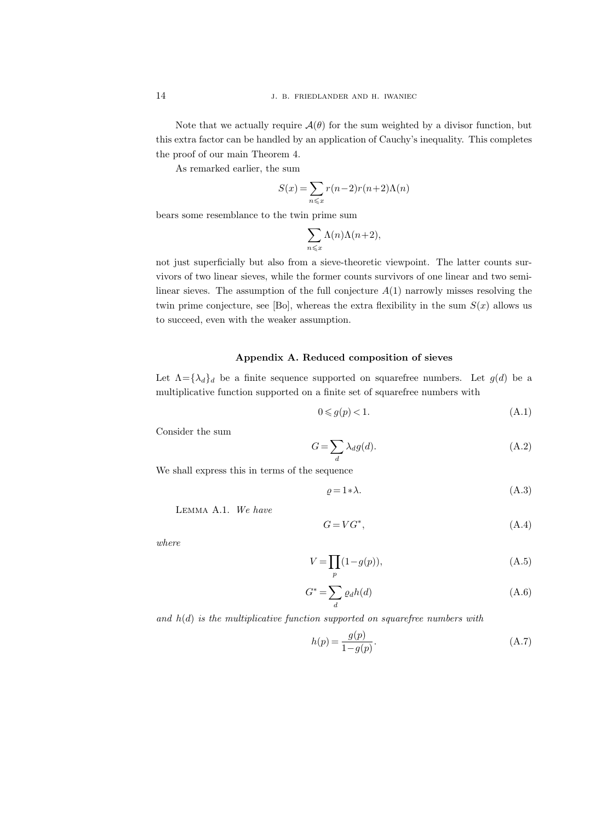Note that we actually require  $\mathcal{A}(\theta)$  for the sum weighted by a divisor function, but this extra factor can be handled by an application of Cauchy's inequality. This completes the proof of our main Theorem 4.

As remarked earlier, the sum

$$
S(x) = \sum_{n \leq x} r(n-2)r(n+2)\Lambda(n)
$$

bears some resemblance to the twin prime sum

$$
\sum_{n\leqslant x}\Lambda(n)\Lambda(n+2),
$$

not just superficially but also from a sieve-theoretic viewpoint. The latter counts survivors of two linear sieves, while the former counts survivors of one linear and two semilinear sieves. The assumption of the full conjecture  $A(1)$  narrowly misses resolving the twin prime conjecture, see [Bo], whereas the extra flexibility in the sum  $S(x)$  allows us to succeed, even with the weaker assumption.

# Appendix A. Reduced composition of sieves

Let  $\Lambda = {\lambda_d}_d$  be a finite sequence supported on squarefree numbers. Let  $g(d)$  be a multiplicative function supported on a finite set of squarefree numbers with

$$
0 \leqslant g(p) < 1. \tag{A.1}
$$

Consider the sum

$$
G = \sum_{d} \lambda_d g(d). \tag{A.2}
$$

We shall express this in terms of the sequence

$$
\varrho = 1 * \lambda. \tag{A.3}
$$

Lemma A.1. We have

$$
G = VG^*,\tag{A.4}
$$

where

$$
V = \prod_{p} (1 - g(p)),\tag{A.5}
$$

$$
G^* = \sum_d \varrho_d h(d) \tag{A.6}
$$

and  $h(d)$  is the multiplicative function supported on squarefree numbers with

$$
h(p) = \frac{g(p)}{1 - g(p)}.\t(A.7)
$$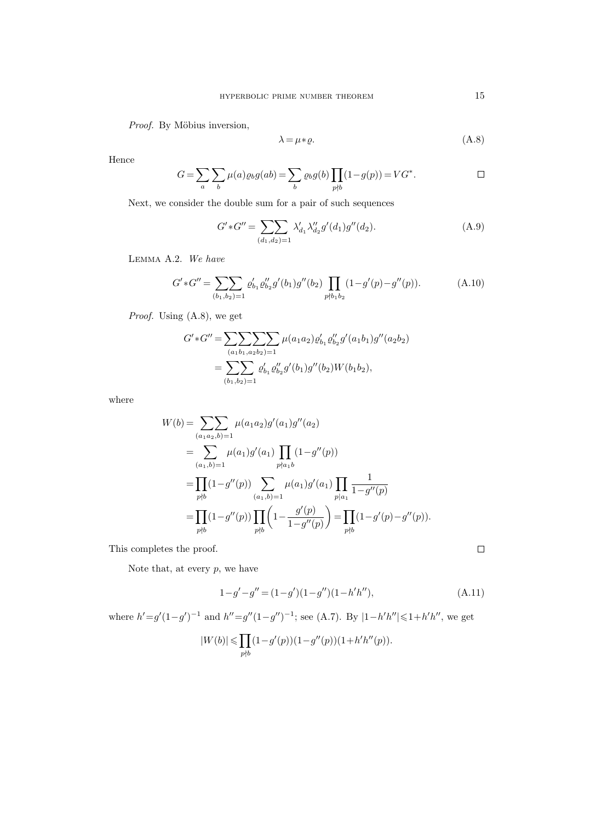Proof. By Möbius inversion,

$$
\lambda = \mu * \varrho. \tag{A.8}
$$

Hence

$$
G = \sum_{a} \sum_{b} \mu(a) \varrho_b g(ab) = \sum_{b} \varrho_b g(b) \prod_{p \nmid b} (1 - g(p)) = VG^*.
$$

Next, we consider the double sum for a pair of such sequences

$$
G'*G'' = \sum_{(d_1,d_2)=1} \lambda'_{d_1} \lambda''_{d_2} g'(d_1)g''(d_2).
$$
\n(A.9)

Lemma A.2. We have

$$
G' * G'' = \sum_{(b_1, b_2) = 1} \varrho'_{b_1} \varrho''_{b_2} g'(b_1) g''(b_2) \prod_{p \nmid b_1 b_2} (1 - g'(p) - g''(p)).
$$
 (A.10)

Proof. Using (A.8), we get

$$
G'*G'' = \sum_{(a_1b_1, a_2b_2)=1} \sum_{p \geq 0} \mu(a_1a_2) \varrho'_{b_1} \varrho''_{b_2} g'(a_1b_1) g''(a_2b_2)
$$
  
= 
$$
\sum_{(b_1,b_2)=1} \varrho'_{b_1} \varrho''_{b_2} g'(b_1) g''(b_2) W(b_1b_2),
$$

where

$$
W(b) = \sum_{(a_1 a_2, b) = 1} \mu(a_1 a_2) g'(a_1) g''(a_2)
$$
  
= 
$$
\sum_{(a_1, b) = 1} \mu(a_1) g'(a_1) \prod_{p \nmid a_1} (1 - g''(p))
$$
  
= 
$$
\prod_{p \nmid b} (1 - g''(p)) \sum_{(a_1, b) = 1} \mu(a_1) g'(a_1) \prod_{p \mid a_1} \frac{1}{1 - g''(p)}
$$
  
= 
$$
\prod_{p \nmid b} (1 - g''(p)) \prod_{p \nmid b} \left(1 - \frac{g'(p)}{1 - g''(p)}\right) = \prod_{p \nmid b} (1 - g'(p) - g''(p)).
$$

This completes the proof.

Note that, at every  $p$ , we have

$$
1 - g' - g'' = (1 - g')(1 - g'')(1 - h'h''),
$$
\n(A.11)

where  $h' = g'(1-g')^{-1}$  and  $h'' = g''(1-g'')^{-1}$ ; see (A.7). By  $|1-h'h''| \leq 1+h'h''$ , we get

$$
|W(b)|\leqslant \prod_{p\nmid b} (1-g'(p))(1-g''(p))(1+h'h''(p)).
$$

 $\Box$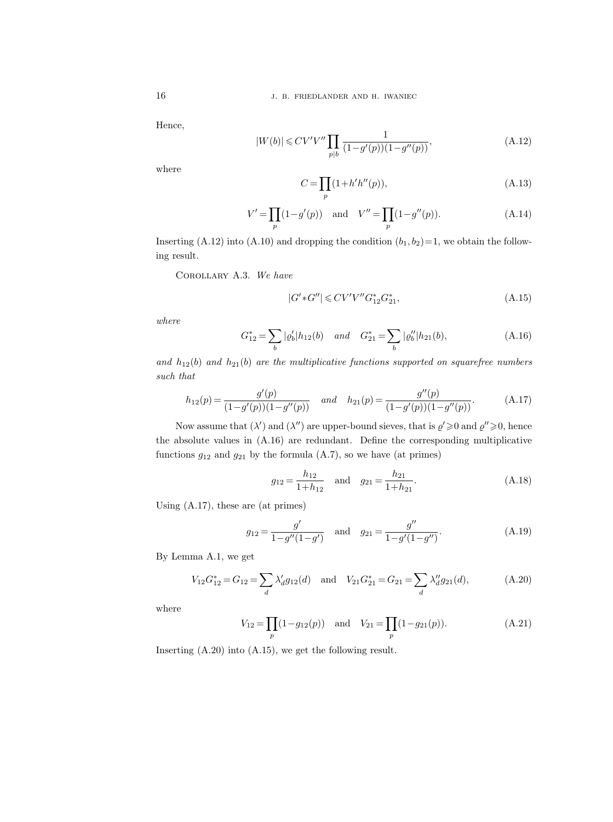Hence,

$$
|W(b)| \leq CV'V'' \prod_{p|b} \frac{1}{(1 - g'(p))(1 - g''(p))},
$$
\n(A.12)

where

$$
C = \prod_{p} (1 + h'h''(p)),
$$
\n(A.13)

$$
V' = \prod_{p} (1 - g'(p)) \text{ and } V'' = \prod_{p} (1 - g''(p)).
$$
 (A.14)

Inserting (A.12) into (A.10) and dropping the condition  $(b_1, b_2)=1$ , we obtain the following result.

Corollary A.3. We have

$$
|G'*G''| \leq CV'V''G_{12}^*G_{21}^*,\tag{A.15}
$$

where

$$
G_{12}^* = \sum_b |\varrho_b'| h_{12}(b) \quad and \quad G_{21}^* = \sum_b |\varrho_b''| h_{21}(b), \tag{A.16}
$$

and  $h_{12}(b)$  and  $h_{21}(b)$  are the multiplicative functions supported on squarefree numbers such that

$$
h_{12}(p) = \frac{g'(p)}{(1 - g'(p))(1 - g''(p))} \quad and \quad h_{21}(p) = \frac{g''(p)}{(1 - g'(p))(1 - g''(p))}.
$$
 (A.17)

Now assume that  $(\lambda')$  and  $(\lambda'')$  are upper-bound sieves, that is  $\varrho' \geq 0$  and  $\varrho'' \geq 0$ , hence the absolute values in (A.16) are redundant. Define the corresponding multiplicative functions  $g_{12}$  and  $g_{21}$  by the formula (A.7), so we have (at primes)

$$
g_{12} = \frac{h_{12}}{1 + h_{12}}
$$
 and  $g_{21} = \frac{h_{21}}{1 + h_{21}}$ . (A.18)

Using (A.17), these are (at primes)

$$
g_{12} = \frac{g'}{1 - g''(1 - g')} \quad \text{and} \quad g_{21} = \frac{g''}{1 - g'(1 - g'')}.
$$
 (A.19)

By Lemma A.1, we get

$$
V_{12}G_{12}^* = G_{12} = \sum_d \lambda'_d g_{12}(d) \text{ and } V_{21}G_{21}^* = G_{21} = \sum_d \lambda'_d g_{21}(d), \qquad (A.20)
$$

where

$$
V_{12} = \prod_{p} (1 - g_{12}(p)) \text{ and } V_{21} = \prod_{p} (1 - g_{21}(p)).
$$
 (A.21)

Inserting (A.20) into (A.15), we get the following result.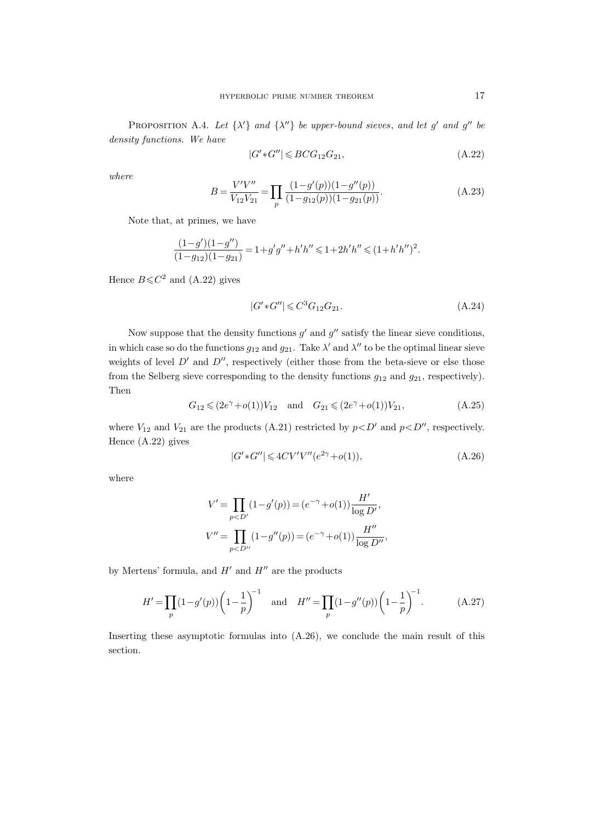PROPOSITION A.4. Let  $\{\lambda'\}$  and  $\{\lambda''\}$  be upper-bound sieves, and let g' and g'' be density functions. We have

$$
|G'*G''| \le BCG_{12}G_{21},\tag{A.22}
$$

where

$$
B = \frac{V'V''}{V_{12}V_{21}} = \prod_{p} \frac{(1 - g'(p))(1 - g''(p))}{(1 - g_{12}(p))(1 - g_{21}(p))}.
$$
 (A.23)

Note that, at primes, we have

$$
\frac{(1-g')(1-g'')}{(1-g_{12})(1-g_{21})}=1+g'g''+h'h''\leqslant 1+2h'h''\leqslant (1+h'h'')^2.
$$

Hence  $B \leq C^2$  and (A.22) gives

$$
|G'*G''| \leq C^3 G_{12} G_{21}.
$$
\n(A.24)

Now suppose that the density functions  $g'$  and  $g''$  satisfy the linear sieve conditions, in which case so do the functions  $g_{12}$  and  $g_{21}$ . Take  $\lambda'$  and  $\lambda''$  to be the optimal linear sieve weights of level  $D'$  and  $D''$ , respectively (either those from the beta-sieve or else those from the Selberg sieve corresponding to the density functions  $g_{12}$  and  $g_{21}$ , respectively). Then

$$
G_{12} \leq (2e^{\gamma} + o(1))V_{12} \quad \text{and} \quad G_{21} \leq (2e^{\gamma} + o(1))V_{21}, \tag{A.25}
$$

where  $V_{12}$  and  $V_{21}$  are the products (A.21) restricted by  $p\lt D'$  and  $p\lt D''$ , respectively. Hence (A.22) gives

$$
|G' * G''| \leqslant 4CV'V''(e^{2\gamma} + o(1)),\tag{A.26}
$$

where

$$
V' = \prod_{p < D'} (1 - g'(p)) = (e^{-\gamma} + o(1)) \frac{H'}{\log D'},
$$
  

$$
V'' = \prod_{p < D''} (1 - g''(p)) = (e^{-\gamma} + o(1)) \frac{H''}{\log D''},
$$

by Mertens' formula, and  $H'$  and  $H''$  are the products

$$
H' = \prod_{p} (1 - g'(p)) \left( 1 - \frac{1}{p} \right)^{-1} \quad \text{and} \quad H'' = \prod_{p} (1 - g''(p)) \left( 1 - \frac{1}{p} \right)^{-1}.
$$
 (A.27)

Inserting these asymptotic formulas into (A.26), we conclude the main result of this section.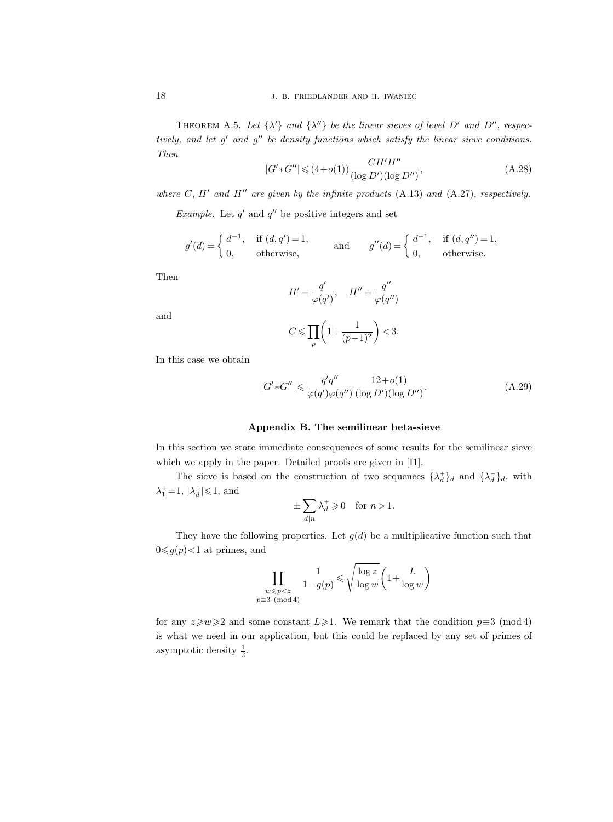THEOREM A.5. Let  $\{\lambda'\}$  and  $\{\lambda''\}$  be the linear sieves of level D' and D'', respectively, and let  $g'$  and  $g''$  be density functions which satisfy the linear sieve conditions. Then

$$
|G' * G''| \leq (4+o(1)) \frac{CH'H''}{(\log D')(\log D'')},
$$
\n(A.28)

where C, H' and H'' are given by the infinite products (A.13) and (A.27), respectively.

Example. Let  $q'$  and  $q''$  be positive integers and set

$$
g'(d) = \begin{cases} d^{-1}, & \text{if } (d, q') = 1, \\ 0, & \text{otherwise,} \end{cases} \quad \text{and} \quad g''(d) = \begin{cases} d^{-1}, & \text{if } (d, q'') = 1, \\ 0, & \text{otherwise.} \end{cases}
$$

Then

and

$$
H' = \frac{q'}{\varphi(q')}, \quad H'' = \frac{q''}{\varphi(q'')}
$$

$$
C \le \prod_{p} \left( 1 + \frac{1}{(p-1)^2} \right) < 3.
$$

In this case we obtain

$$
|G' * G''| \leqslant \frac{q'q''}{\varphi(q')\varphi(q'')} \frac{12 + o(1)}{(\log D')(\log D'')}.
$$
\n(A.29)

#### Appendix B. The semilinear beta-sieve

In this section we state immediate consequences of some results for the semilinear sieve which we apply in the paper. Detailed proofs are given in [I1].

The sieve is based on the construction of two sequences  $\{\lambda_d^+\}_d$  and  $\{\lambda_d^-\}_d$ , with  $\lambda_1^{\pm} = 1$ ,  $|\lambda_d^{\pm}| \leq 1$ , and

$$
\pm \sum_{d|n} \lambda_d^{\pm} \geqslant 0 \quad \text{for } n > 1.
$$

They have the following properties. Let  $g(d)$  be a multiplicative function such that  $0 \leq g(p) < 1$  at primes, and

$$
\prod_{\substack{w \leqslant p < z \\ p \equiv 3 \pmod{4}}} \frac{1}{1 - g(p)} \leqslant \sqrt{\frac{\log z}{\log w}} \left( 1 + \frac{L}{\log w} \right)
$$

for any  $z\geq w\geq 2$  and some constant  $L\geq 1$ . We remark that the condition  $p\equiv 3\pmod{4}$ is what we need in our application, but this could be replaced by any set of primes of asymptotic density  $\frac{1}{2}$ .